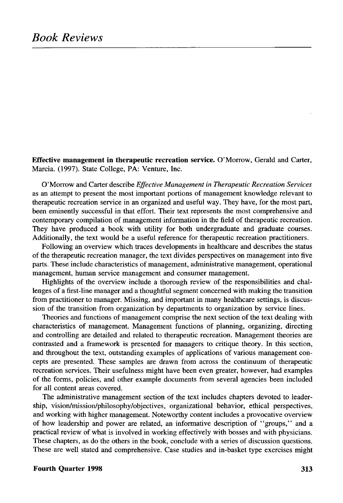**Effective management in therapeutic recreation service.** O'Morrow, Gerald and Carter, Marcia. (1997). State College, PA: Venture, Inc.

O'Morrow and Carter describe *Effective Management in Therapeutic Recreation Services* as an attempt to present the most important portions of management knowledge relevant to therapeutic recreation service in an organized and useful way. They have, for the most part, been eminently successful in that effort. Their text represents the most comprehensive and contemporary compilation of management information in the field of therapeutic recreation. They have produced a book with utility for both undergraduate and graduate courses. Additionally, the text would be a useful reference for therapeutic recreation practitioners.

Following an overview which traces developments in healthcare and describes the status of the therapeutic recreation manager, the text divides perspectives on management into five parts. These include characteristics of management, administrative management, operational management, human service management and consumer management.

Highlights of the overview include a thorough review of the responsibilities and challenges of a first-line manager and a thoughtful segment concerned with making the transition from practitioner to manager. Missing, and important in many healthcare settings, is discussion of the transition from organization by departments to organization by service lines.

Theories and functions of management comprise the next section of the text dealing with characteristics of management. Management functions of planning, organizing, directing and controlling are detailed and related to therapeutic recreation. Management theories are contrasted and a framework is presented for managers to critique theory. In this section, and throughout the text, outstanding examples of applications of various management concepts are presented. These samples are drawn from across the continuum of therapeutic recreation services. Their usefulness might have been even greater, however, had examples of the forms, policies, and other example documents from several agencies been included for all content areas covered.

The administrative management section of the text includes chapters devoted to leadership, vision/mission/philosophy/objectives, organizational behavior, ethical perspectives, and working with higher management. Noteworthy content includes a provocative overview of how leadership and power are related, an informative description of "groups," and a practical review of what is involved in working effectively with bosses and with physicians. These chapters, as do the others in the book, conclude with a series of discussion questions. These are well stated and comprehensive. Case studies and in-basket type exercises might

## **Fourth Quarter 1998** 313